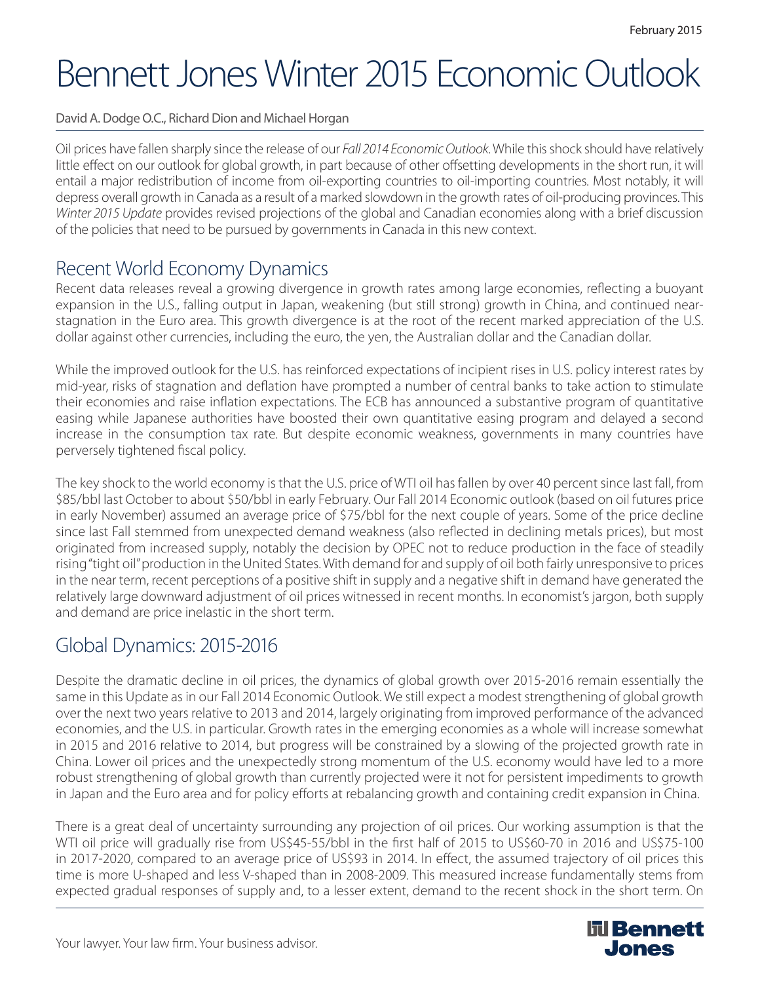# Bennett Jones Winter 2015 Economic Outlook

David A. Dodge O.C., Richard Dion and Michael Horgan

Oil prices have fallen sharply since the release of our *Fall 2014 Economic Outlook*. While this shock should have relatively little effect on our outlook for global growth, in part because of other offsetting developments in the short run, it will entail a major redistribution of income from oil-exporting countries to oil-importing countries. Most notably, it will depress overall growth in Canada as a result of a marked slowdown in the growth rates of oil-producing provinces. This *Winter 2015 Update* provides revised projections of the global and Canadian economies along with a brief discussion of the policies that need to be pursued by governments in Canada in this new context.

#### Recent World Economy Dynamics

Recent data releases reveal a growing divergence in growth rates among large economies, reflecting a buoyant expansion in the U.S., falling output in Japan, weakening (but still strong) growth in China, and continued nearstagnation in the Euro area. This growth divergence is at the root of the recent marked appreciation of the U.S. dollar against other currencies, including the euro, the yen, the Australian dollar and the Canadian dollar.

While the improved outlook for the U.S. has reinforced expectations of incipient rises in U.S. policy interest rates by mid-year, risks of stagnation and deflation have prompted a number of central banks to take action to stimulate their economies and raise inflation expectations. The ECB has announced a substantive program of quantitative easing while Japanese authorities have boosted their own quantitative easing program and delayed a second increase in the consumption tax rate. But despite economic weakness, governments in many countries have perversely tightened fiscal policy.

The key shock to the world economy is that the U.S. price of WTI oil has fallen by over 40 percent since last fall, from \$85/bbl last October to about \$50/bbl in early February. Our Fall 2014 Economic outlook (based on oil futures price in early November) assumed an average price of \$75/bbl for the next couple of years. Some of the price decline since last Fall stemmed from unexpected demand weakness (also reflected in declining metals prices), but most originated from increased supply, notably the decision by OPEC not to reduce production in the face of steadily rising "tight oil" production in the United States. With demand for and supply of oil both fairly unresponsive to prices in the near term, recent perceptions of a positive shift in supply and a negative shift in demand have generated the relatively large downward adjustment of oil prices witnessed in recent months. In economist's jargon, both supply and demand are price inelastic in the short term.

### Global Dynamics: 2015-2016

Despite the dramatic decline in oil prices, the dynamics of global growth over 2015-2016 remain essentially the same in this Update as in our Fall 2014 Economic Outlook. We still expect a modest strengthening of global growth over the next two years relative to 2013 and 2014, largely originating from improved performance of the advanced economies, and the U.S. in particular. Growth rates in the emerging economies as a whole will increase somewhat in 2015 and 2016 relative to 2014, but progress will be constrained by a slowing of the projected growth rate in China. Lower oil prices and the unexpectedly strong momentum of the U.S. economy would have led to a more robust strengthening of global growth than currently projected were it not for persistent impediments to growth in Japan and the Euro area and for policy efforts at rebalancing growth and containing credit expansion in China.

There is a great deal of uncertainty surrounding any projection of oil prices. Our working assumption is that the WTI oil price will gradually rise from US\$45-55/bbl in the first half of 2015 to US\$60-70 in 2016 and US\$75-100 in 2017-2020, compared to an average price of US\$93 in 2014. In effect, the assumed trajectory of oil prices this time is more U-shaped and less V-shaped than in 2008-2009. This measured increase fundamentally stems from expected gradual responses of supply and, to a lesser extent, demand to the recent shock in the short term. On

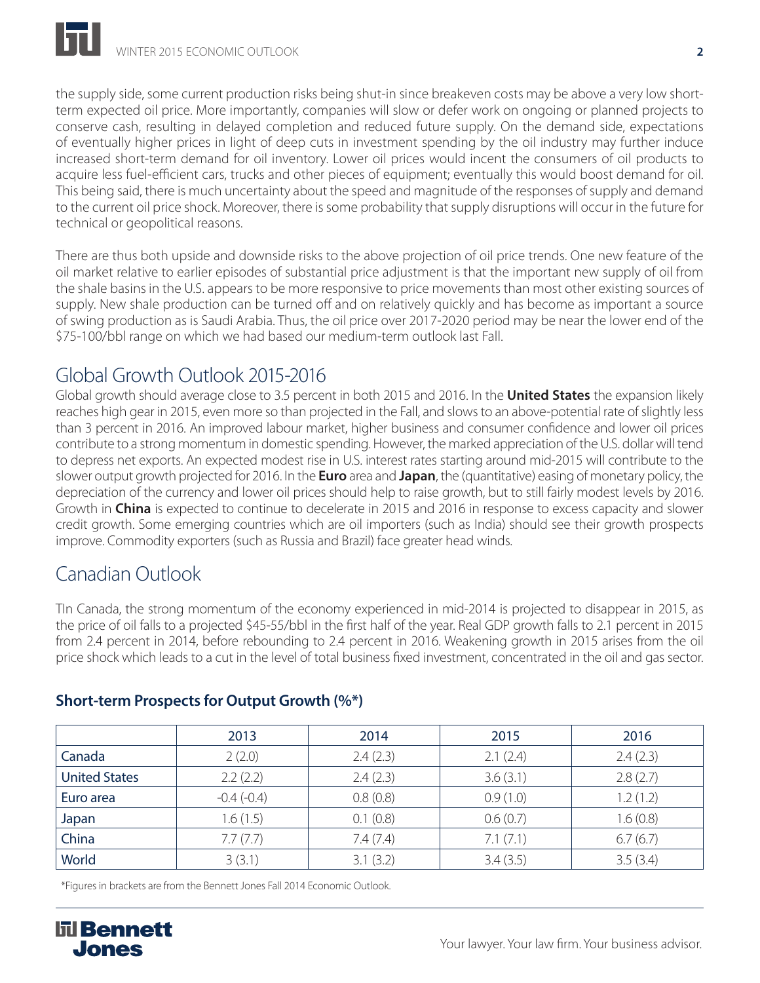the supply side, some current production risks being shut-in since breakeven costs may be above a very low shortterm expected oil price. More importantly, companies will slow or defer work on ongoing or planned projects to conserve cash, resulting in delayed completion and reduced future supply. On the demand side, expectations of eventually higher prices in light of deep cuts in investment spending by the oil industry may further induce increased short-term demand for oil inventory. Lower oil prices would incent the consumers of oil products to acquire less fuel-efficient cars, trucks and other pieces of equipment; eventually this would boost demand for oil. This being said, there is much uncertainty about the speed and magnitude of the responses of supply and demand to the current oil price shock. Moreover, there is some probability that supply disruptions will occur in the future for technical or geopolitical reasons.

There are thus both upside and downside risks to the above projection of oil price trends. One new feature of the oil market relative to earlier episodes of substantial price adjustment is that the important new supply of oil from the shale basins in the U.S. appears to be more responsive to price movements than most other existing sources of supply. New shale production can be turned off and on relatively quickly and has become as important a source of swing production as is Saudi Arabia. Thus, the oil price over 2017-2020 period may be near the lower end of the \$75-100/bbl range on which we had based our medium-term outlook last Fall.

# Global Growth Outlook 2015-2016

Global growth should average close to 3.5 percent in both 2015 and 2016. In the **United States** the expansion likely reaches high gear in 2015, even more so than projected in the Fall, and slows to an above-potential rate of slightly less than 3 percent in 2016. An improved labour market, higher business and consumer confidence and lower oil prices contribute to a strong momentum in domestic spending. However, the marked appreciation of the U.S. dollar will tend to depress net exports. An expected modest rise in U.S. interest rates starting around mid-2015 will contribute to the slower output growth projected for 2016. In the **Euro** area and **Japan**, the (quantitative) easing of monetary policy, the depreciation of the currency and lower oil prices should help to raise growth, but to still fairly modest levels by 2016. Growth in **China** is expected to continue to decelerate in 2015 and 2016 in response to excess capacity and slower credit growth. Some emerging countries which are oil importers (such as India) should see their growth prospects improve. Commodity exporters (such as Russia and Brazil) face greater head winds.

# Canadian Outlook

TIn Canada, the strong momentum of the economy experienced in mid-2014 is projected to disappear in 2015, as the price of oil falls to a projected \$45-55/bbl in the first half of the year. Real GDP growth falls to 2.1 percent in 2015 from 2.4 percent in 2014, before rebounding to 2.4 percent in 2016. Weakening growth in 2015 arises from the oil price shock which leads to a cut in the level of total business fixed investment, concentrated in the oil and gas sector.

|                      | 2013         | 2014     | 2015     | 2016     |
|----------------------|--------------|----------|----------|----------|
| Canada               | 2(2.0)       | 2.4(2.3) | 2.1(2.4) | 2.4(2.3) |
| <b>United States</b> | 2.2(2.2)     | 2.4(2.3) | 3.6(3.1) | 2.8(2.7) |
| Euro area            | $-0.4(-0.4)$ | 0.8(0.8) | 0.9(1.0) | 1.2(1.2) |
| Japan                | 1.6(1.5)     | 0.1(0.8) | 0.6(0.7) | 1.6(0.8) |
| China                | 7.7(7.7)     | 7.4(7.4) | 7.1(7.1) | 6.7(6.7) |
| World                | 3(3.1)       | 3.1(3.2) | 3.4(3.5) | 3.5(3.4) |

#### **Short-term Prospects for Output Growth (%\*)**

\*Figures in brackets are from the Bennett Jones Fall 2014 Economic Outlook.

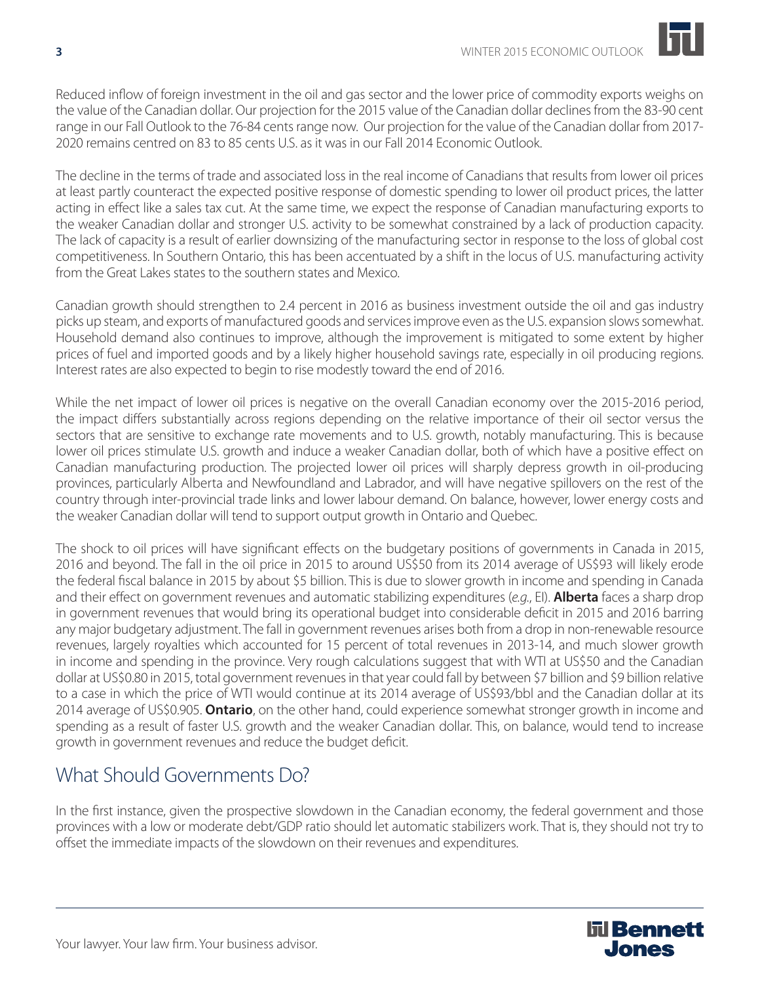

Reduced inflow of foreign investment in the oil and gas sector and the lower price of commodity exports weighs on the value of the Canadian dollar. Our projection for the 2015 value of the Canadian dollar declines from the 83-90 cent range in our Fall Outlook to the 76-84 cents range now. Our projection for the value of the Canadian dollar from 2017- 2020 remains centred on 83 to 85 cents U.S. as it was in our Fall 2014 Economic Outlook.

The decline in the terms of trade and associated loss in the real income of Canadians that results from lower oil prices at least partly counteract the expected positive response of domestic spending to lower oil product prices, the latter acting in effect like a sales tax cut. At the same time, we expect the response of Canadian manufacturing exports to the weaker Canadian dollar and stronger U.S. activity to be somewhat constrained by a lack of production capacity. The lack of capacity is a result of earlier downsizing of the manufacturing sector in response to the loss of global cost competitiveness. In Southern Ontario, this has been accentuated by a shift in the locus of U.S. manufacturing activity from the Great Lakes states to the southern states and Mexico.

Canadian growth should strengthen to 2.4 percent in 2016 as business investment outside the oil and gas industry picks up steam, and exports of manufactured goods and services improve even as the U.S. expansion slows somewhat. Household demand also continues to improve, although the improvement is mitigated to some extent by higher prices of fuel and imported goods and by a likely higher household savings rate, especially in oil producing regions. Interest rates are also expected to begin to rise modestly toward the end of 2016.

While the net impact of lower oil prices is negative on the overall Canadian economy over the 2015-2016 period, the impact differs substantially across regions depending on the relative importance of their oil sector versus the sectors that are sensitive to exchange rate movements and to U.S. growth, notably manufacturing. This is because lower oil prices stimulate U.S. growth and induce a weaker Canadian dollar, both of which have a positive effect on Canadian manufacturing production. The projected lower oil prices will sharply depress growth in oil-producing provinces, particularly Alberta and Newfoundland and Labrador, and will have negative spillovers on the rest of the country through inter-provincial trade links and lower labour demand. On balance, however, lower energy costs and the weaker Canadian dollar will tend to support output growth in Ontario and Quebec.

The shock to oil prices will have significant effects on the budgetary positions of governments in Canada in 2015, 2016 and beyond. The fall in the oil price in 2015 to around US\$50 from its 2014 average of US\$93 will likely erode the federal fiscal balance in 2015 by about \$5 billion. This is due to slower growth in income and spending in Canada and their effect on government revenues and automatic stabilizing expenditures (*e.g.*, EI). **Alberta** faces a sharp drop in government revenues that would bring its operational budget into considerable deficit in 2015 and 2016 barring any major budgetary adjustment. The fall in government revenues arises both from a drop in non-renewable resource revenues, largely royalties which accounted for 15 percent of total revenues in 2013-14, and much slower growth in income and spending in the province. Very rough calculations suggest that with WTI at US\$50 and the Canadian dollar at US\$0.80 in 2015, total government revenues in that year could fall by between \$7 billion and \$9 billion relative to a case in which the price of WTI would continue at its 2014 average of US\$93/bbl and the Canadian dollar at its 2014 average of US\$0.905. **Ontario**, on the other hand, could experience somewhat stronger growth in income and spending as a result of faster U.S. growth and the weaker Canadian dollar. This, on balance, would tend to increase growth in government revenues and reduce the budget deficit.

# What Should Governments Do?

In the first instance, given the prospective slowdown in the Canadian economy, the federal government and those provinces with a low or moderate debt/GDP ratio should let automatic stabilizers work. That is, they should not try to offset the immediate impacts of the slowdown on their revenues and expenditures.

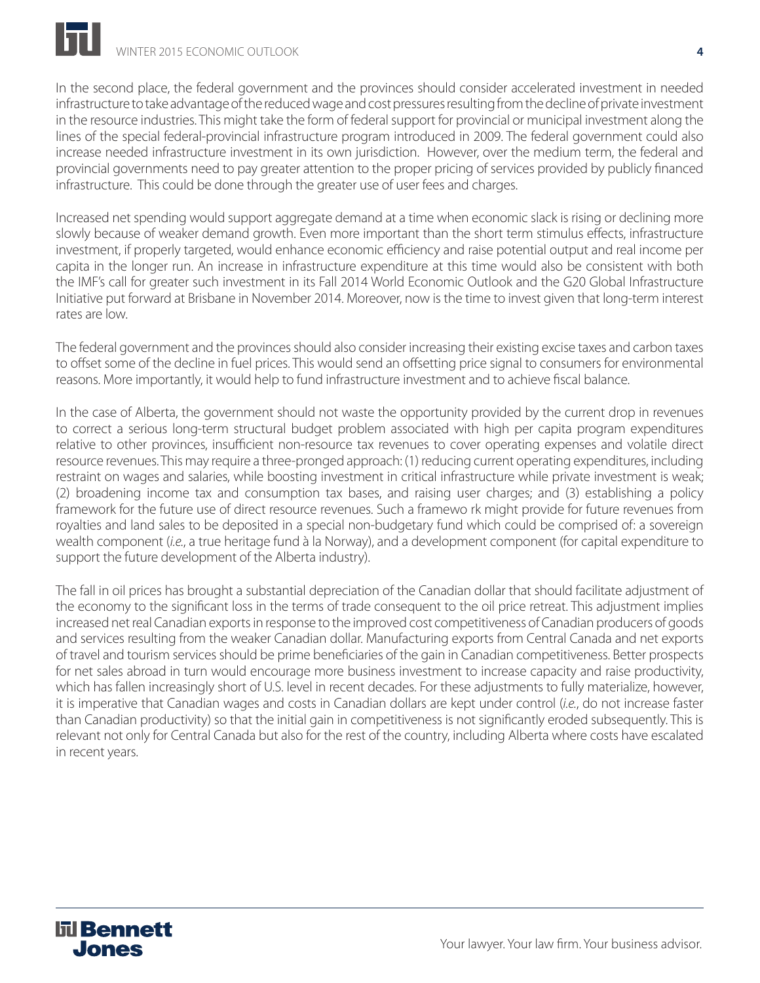In the second place, the federal government and the provinces should consider accelerated investment in needed infrastructure to take advantage of the reduced wage and cost pressures resulting from the decline of private investment in the resource industries. This might take the form of federal support for provincial or municipal investment along the lines of the special federal-provincial infrastructure program introduced in 2009. The federal government could also increase needed infrastructure investment in its own jurisdiction. However, over the medium term, the federal and provincial governments need to pay greater attention to the proper pricing of services provided by publicly financed infrastructure. This could be done through the greater use of user fees and charges.

Increased net spending would support aggregate demand at a time when economic slack is rising or declining more slowly because of weaker demand growth. Even more important than the short term stimulus effects, infrastructure investment, if properly targeted, would enhance economic efficiency and raise potential output and real income per capita in the longer run. An increase in infrastructure expenditure at this time would also be consistent with both the IMF's call for greater such investment in its Fall 2014 World Economic Outlook and the G20 Global Infrastructure Initiative put forward at Brisbane in November 2014. Moreover, now is the time to invest given that long-term interest rates are low.

The federal government and the provinces should also consider increasing their existing excise taxes and carbon taxes to offset some of the decline in fuel prices. This would send an offsetting price signal to consumers for environmental reasons. More importantly, it would help to fund infrastructure investment and to achieve fiscal balance.

In the case of Alberta, the government should not waste the opportunity provided by the current drop in revenues to correct a serious long-term structural budget problem associated with high per capita program expenditures relative to other provinces, insufficient non-resource tax revenues to cover operating expenses and volatile direct resource revenues. This may require a three-pronged approach: (1) reducing current operating expenditures, including restraint on wages and salaries, while boosting investment in critical infrastructure while private investment is weak; (2) broadening income tax and consumption tax bases, and raising user charges; and (3) establishing a policy framework for the future use of direct resource revenues. Such a framewo rk might provide for future revenues from royalties and land sales to be deposited in a special non-budgetary fund which could be comprised of: a sovereign wealth component (*i.e.*, a true heritage fund à la Norway), and a development component (for capital expenditure to support the future development of the Alberta industry).

The fall in oil prices has brought a substantial depreciation of the Canadian dollar that should facilitate adjustment of the economy to the significant loss in the terms of trade consequent to the oil price retreat. This adjustment implies increased net real Canadian exports in response to the improved cost competitiveness of Canadian producers of goods and services resulting from the weaker Canadian dollar. Manufacturing exports from Central Canada and net exports of travel and tourism services should be prime beneficiaries of the gain in Canadian competitiveness. Better prospects for net sales abroad in turn would encourage more business investment to increase capacity and raise productivity, which has fallen increasingly short of U.S. level in recent decades. For these adjustments to fully materialize, however, it is imperative that Canadian wages and costs in Canadian dollars are kept under control (*i.e.*, do not increase faster than Canadian productivity) so that the initial gain in competitiveness is not significantly eroded subsequently. This is relevant not only for Central Canada but also for the rest of the country, including Alberta where costs have escalated in recent years.